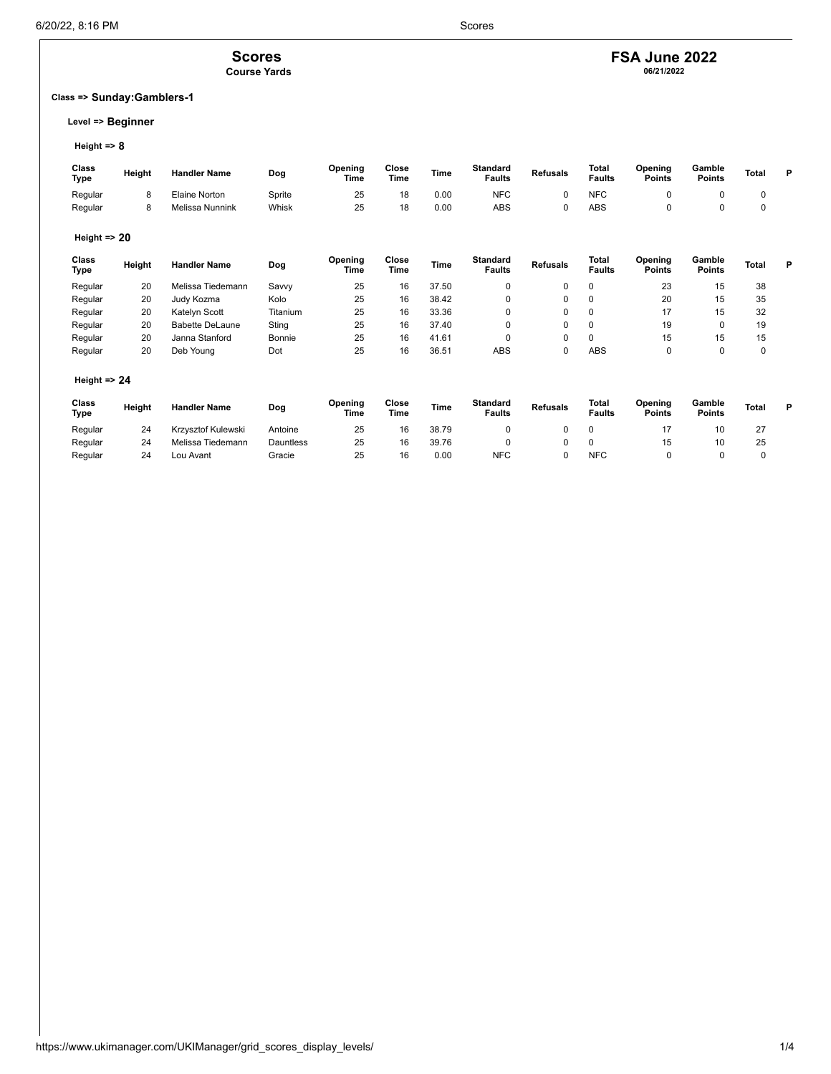### **Scores Course Yards**

### **Class => Sunday:Gamblers-1**

### **Level => Beginner**

### **Height => 8**

| Class<br><b>Type</b> | Height | <b>Handler Name</b> | Dog    | Opening<br>Time | Close<br><b>Time</b> | Time | <b>Standard</b><br><b>Faults</b> | <b>Refusals</b> | Total<br><b>Faults</b> | Opening<br><b>Points</b> | Gamble<br>Points | Total | D |
|----------------------|--------|---------------------|--------|-----------------|----------------------|------|----------------------------------|-----------------|------------------------|--------------------------|------------------|-------|---|
| Regular              |        | Elaine Norton       | Sprite | 25              | 18                   | 0.00 | <b>NFC</b>                       |                 | <b>NFC</b>             |                          |                  |       |   |
| Regular              |        | Melissa Nunnink     | Whisk  | 25              | 18                   | 0.00 | ABS                              |                 | ABS                    |                          |                  |       |   |

### **Height => 20**

| Class<br>Type | Height | <b>Handler Name</b>    | Dog      | Opening<br>Time | Close<br>Time | <b>Time</b> | <b>Standard</b><br><b>Faults</b> | <b>Refusals</b> | Total<br><b>Faults</b> | Opening<br><b>Points</b> | Gamble<br><b>Points</b> | <b>Total</b> | P |
|---------------|--------|------------------------|----------|-----------------|---------------|-------------|----------------------------------|-----------------|------------------------|--------------------------|-------------------------|--------------|---|
| Regular       | 20     | Melissa Tiedemann      | Savvy    | 25              | 16            | 37.50       |                                  |                 |                        | 23                       | 15                      | 38           |   |
| Regular       | 20     | Judy Kozma             | Kolo     | 25              | 16            | 38.42       |                                  |                 |                        | 20                       | 15                      | 35           |   |
| Regular       | 20     | Katelyn Scott          | Titanium | 25              | 16            | 33.36       |                                  |                 |                        | 17                       | 15                      | 32           |   |
| Regular       | 20     | <b>Babette DeLaune</b> | Sting    | 25              | 16            | 37.40       |                                  |                 |                        | 19                       |                         | 19           |   |
| Regular       | 20     | Janna Stanford         | Bonnie   | 25              | 16            | 41.61       |                                  |                 |                        | 15                       | 15                      | 15           |   |
| Regular       | 20     | Deb Young              | Dot      | 25              | 16            | 36.51       | <b>ABS</b>                       |                 | <b>ABS</b>             |                          |                         | 0            |   |

### **Height => 24**

| Class<br>Type | Height | <b>Handler Name</b> | Dog       | Opening<br>Time | Close<br>Time | Time  | <b>Standard</b><br><b>Faults</b> | <b>Refusals</b> | Total<br><b>Faults</b> | Opening<br><b>Points</b> | Gamble<br><b>Points</b> | Total | D |
|---------------|--------|---------------------|-----------|-----------------|---------------|-------|----------------------------------|-----------------|------------------------|--------------------------|-------------------------|-------|---|
| Regular       | 24     | Krzysztof Kulewski  | Antoine   | 25              | 16            | 38.79 |                                  |                 |                        |                          |                         |       |   |
| Regular       | 24     | Melissa Tiedemann   | Dauntless | 25              | 16            | 39.76 |                                  |                 |                        | 15                       |                         | 25    |   |
| Regular       | 24     | Lou Avant           | Gracie    | 25              | 16            | 0.00  | <b>NFC</b>                       |                 | <b>NFC</b>             |                          |                         |       |   |

**FSA June 2022 06/21/2022**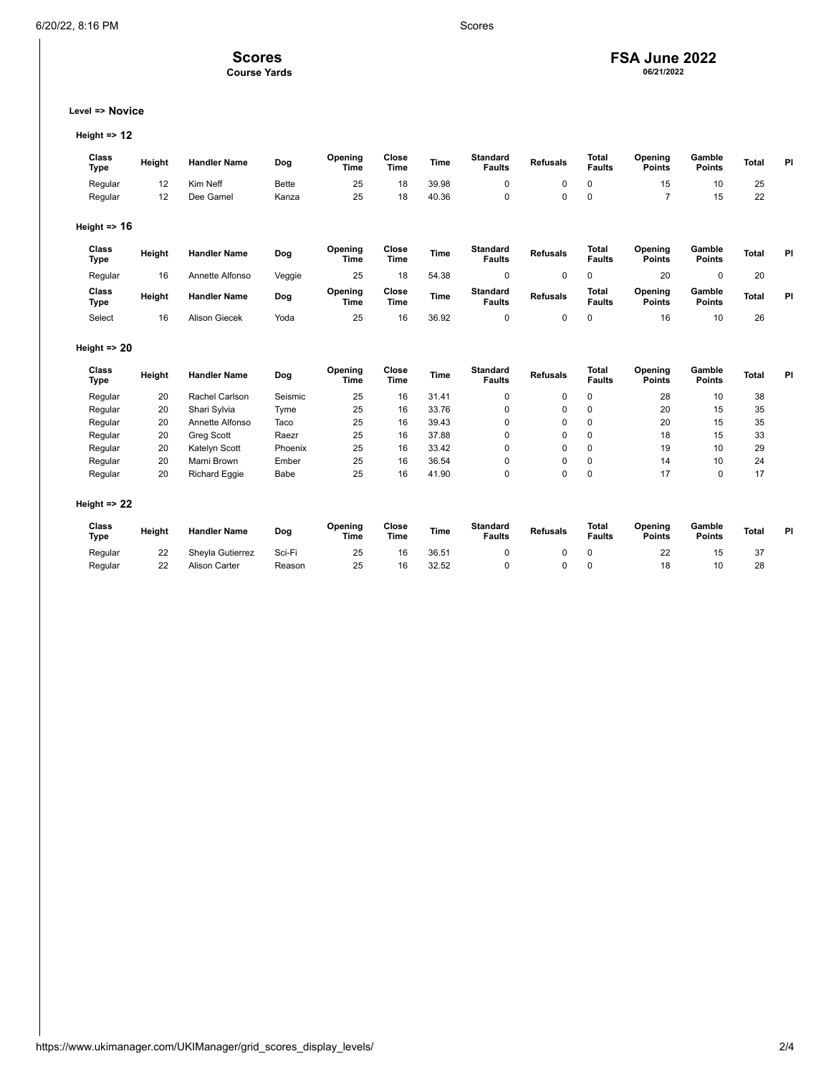## **Scores**

**Course Yards**

# **FSA June 2022 06/21/2022**

**Level => Novice**

**Height => 12**

| Class<br><b>Type</b>    | Height | <b>Handler Name</b>  | Dog          | Opening<br><b>Time</b> | Close<br><b>Time</b> | <b>Time</b> | <b>Standard</b><br><b>Faults</b> | <b>Refusals</b> | <b>Total</b><br><b>Faults</b> | Opening<br><b>Points</b> | Gamble<br><b>Points</b> | <b>Total</b> | PI |
|-------------------------|--------|----------------------|--------------|------------------------|----------------------|-------------|----------------------------------|-----------------|-------------------------------|--------------------------|-------------------------|--------------|----|
| Regular                 | 12     | Kim Neff             | <b>Bette</b> | 25                     | 18                   | 39.98       | 0                                | $\mathbf 0$     | 0                             | 15                       | 10                      | 25           |    |
| Regular                 | 12     | Dee Gamel            | Kanza        | 25                     | 18                   | 40.36       | 0                                | $\mathbf 0$     | 0                             | $\overline{7}$           | 15                      | 22           |    |
| Height $\Rightarrow$ 16 |        |                      |              |                        |                      |             |                                  |                 |                               |                          |                         |              |    |
| Class<br><b>Type</b>    | Height | <b>Handler Name</b>  | Dog          | Opening<br><b>Time</b> | Close<br><b>Time</b> | <b>Time</b> | <b>Standard</b><br><b>Faults</b> | <b>Refusals</b> | Total<br><b>Faults</b>        | Opening<br><b>Points</b> | Gamble<br><b>Points</b> | <b>Total</b> | PI |
| Regular                 | 16     | Annette Alfonso      | Veggie       | 25                     | 18                   | 54.38       | 0                                | $\mathbf 0$     | 0                             | 20                       | $\mathbf 0$             | 20           |    |
| Class<br><b>Type</b>    | Height | <b>Handler Name</b>  | Dog          | Opening<br><b>Time</b> | Close<br><b>Time</b> | <b>Time</b> | <b>Standard</b><br><b>Faults</b> | <b>Refusals</b> | <b>Total</b><br><b>Faults</b> | Opening<br><b>Points</b> | Gamble<br><b>Points</b> | <b>Total</b> | PI |
| Select                  | 16     | <b>Alison Giecek</b> | Yoda         | 25                     | 16                   | 36.92       | 0                                | $\mathbf 0$     | 0                             | 16                       | 10                      | 26           |    |
| Height $\Rightarrow$ 20 |        |                      |              |                        |                      |             |                                  |                 |                               |                          |                         |              |    |
| Class<br>Type           | Height | <b>Handler Name</b>  | Dog          | Opening<br>Time        | Close<br><b>Time</b> | <b>Time</b> | <b>Standard</b><br><b>Faults</b> | <b>Refusals</b> | Total<br><b>Faults</b>        | Opening<br><b>Points</b> | Gamble<br><b>Points</b> | <b>Total</b> | PI |
| Regular                 | 20     | Rachel Carlson       | Seismic      | 25                     | 16                   | 31.41       | 0                                | $\mathbf 0$     | 0                             | 28                       | 10                      | 38           |    |
| Regular                 | 20     | Shari Sylvia         | Tyme         | 25                     | 16                   | 33.76       | 0                                | 0               | 0                             | 20                       | 15                      | 35           |    |
| Regular                 | 20     | Annette Alfonso      | Taco         | 25                     | 16                   | 39.43       | 0                                | $\mathbf 0$     | $\mathbf 0$                   | 20                       | 15                      | 35           |    |
| Regular                 | 20     | <b>Greg Scott</b>    | Raezr        | 25                     | 16                   | 37.88       | 0                                | $\mathbf 0$     | 0                             | 18                       | 15                      | 33           |    |
| Regular                 | 20     | Katelyn Scott        | Phoenix      | 25                     | 16                   | 33.42       | 0                                | $\mathbf 0$     | 0                             | 19                       | 10                      | 29           |    |
| Regular                 | 20     | Marni Brown          | Ember        | 25                     | 16                   | 36.54       | 0                                | 0               | $\mathbf 0$                   | 14                       | 10                      | 24           |    |
| Regular                 | 20     | Richard Eggie        | Babe         | 25                     | 16                   | 41.90       | 0                                | 0               | 0                             | 17                       | 0                       | 17           |    |
| Height $\Rightarrow$ 22 |        |                      |              |                        |                      |             |                                  |                 |                               |                          |                         |              |    |
| Class<br><b>Type</b>    | Height | <b>Handler Name</b>  | Dog          | Opening<br>Time        | Close<br><b>Time</b> | <b>Time</b> | <b>Standard</b><br><b>Faults</b> | <b>Refusals</b> | <b>Total</b><br><b>Faults</b> | Opening<br><b>Points</b> | Gamble<br><b>Points</b> | <b>Total</b> | PI |
| Regular                 | 22     | Sheyla Gutierrez     | Sci-Fi       | 25                     | 16                   | 36.51       | 0                                | 0               | 0                             | 22                       | 15                      | 37           |    |
| Regular                 | 22     | <b>Alison Carter</b> | Reason       | 25                     | 16                   | 32.52       | 0                                | $\mathbf 0$     | 0                             | 18                       | 10                      | 28           |    |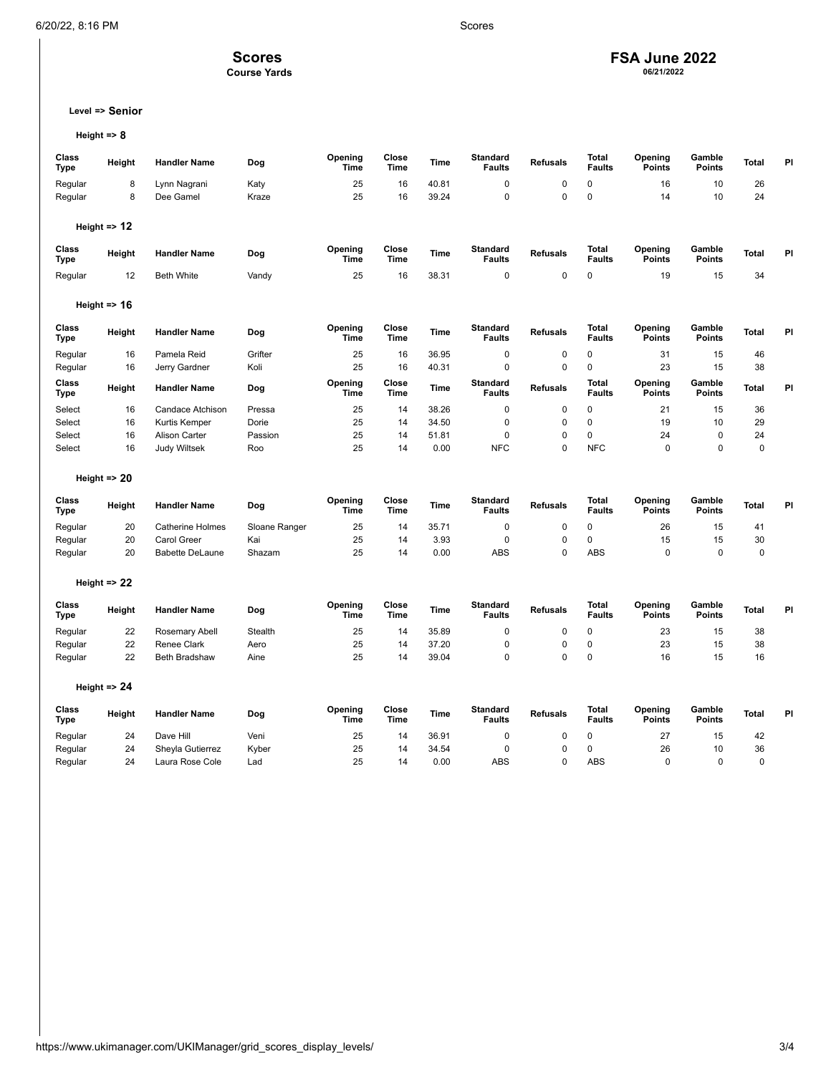# **FSA June 2022 06/21/2022**

**Level => Senior**

**Scores Course Yards**

**Height => 8**

| Class<br>Type        | Height                  | <b>Handler Name</b>     | Dog            | Opening<br>Time        | Close<br>Time        | <b>Time</b> | <b>Standard</b><br><b>Faults</b> | <b>Refusals</b> | Total<br><b>Faults</b>        | Opening<br>Points        | Gamble<br><b>Points</b> | Total        | PI |
|----------------------|-------------------------|-------------------------|----------------|------------------------|----------------------|-------------|----------------------------------|-----------------|-------------------------------|--------------------------|-------------------------|--------------|----|
| Regular              | 8                       | Lynn Nagrani            | Katy           | 25                     | 16                   | 40.81       | $\mathbf 0$                      | 0               | $\mathbf 0$                   | 16                       | 10                      | 26           |    |
| Regular              | 8                       | Dee Gamel               | Kraze          | 25                     | 16                   | 39.24       | $\mathbf 0$                      | $\mathbf 0$     | $\mathbf 0$                   | 14                       | 10                      | 24           |    |
|                      |                         |                         |                |                        |                      |             |                                  |                 |                               |                          |                         |              |    |
|                      | Height $\Rightarrow$ 12 |                         |                |                        |                      |             |                                  |                 |                               |                          |                         |              |    |
| Class<br>Type        | Height                  | <b>Handler Name</b>     | Dog            | Opening<br><b>Time</b> | Close<br><b>Time</b> | <b>Time</b> | <b>Standard</b><br><b>Faults</b> | <b>Refusals</b> | Total<br><b>Faults</b>        | Opening<br><b>Points</b> | Gamble<br><b>Points</b> | <b>Total</b> | PI |
| Regular              | 12                      | <b>Beth White</b>       | Vandy          | 25                     | 16                   | 38.31       | $\mathbf 0$                      | $\mathbf 0$     | 0                             | 19                       | 15                      | 34           |    |
|                      |                         |                         |                |                        |                      |             |                                  |                 |                               |                          |                         |              |    |
|                      | Height $\approx$ 16     |                         |                |                        |                      |             |                                  |                 |                               |                          |                         |              |    |
| Class<br><b>Type</b> | Height                  | <b>Handler Name</b>     | Dog            | Opening<br><b>Time</b> | Close<br><b>Time</b> | <b>Time</b> | <b>Standard</b><br><b>Faults</b> | <b>Refusals</b> | Total<br><b>Faults</b>        | Opening<br><b>Points</b> | Gamble<br><b>Points</b> | <b>Total</b> | PI |
| Regular              | 16                      | Pamela Reid             | Grifter        | 25                     | 16                   | 36.95       | 0                                | 0               | 0                             | 31                       | 15                      | 46           |    |
| Regular              | 16                      | Jerry Gardner           | Koli           | 25                     | 16                   | 40.31       | $\mathbf 0$                      | $\mathbf 0$     | $\mathbf 0$                   | 23                       | 15                      | 38           |    |
| Class<br>Type        | Height                  | <b>Handler Name</b>     | Dog            | Opening<br>Time        | Close<br>Time        | <b>Time</b> | <b>Standard</b><br><b>Faults</b> | <b>Refusals</b> | <b>Total</b><br><b>Faults</b> | Opening<br>Points        | Gamble<br><b>Points</b> | <b>Total</b> | PI |
| Select               | 16                      | Candace Atchison        | Pressa         | 25                     | 14                   | 38.26       | $\mathbf 0$                      | 0               | $\mathbf 0$                   | 21                       | 15                      | 36           |    |
| Select               | 16                      | Kurtis Kemper           | Dorie          | 25                     | 14                   | 34.50       | $\mathbf 0$                      | $\mathbf 0$     | $\mathbf 0$                   | 19                       | 10                      | 29           |    |
| Select               | 16                      | Alison Carter           | Passion        | 25                     | 14                   | 51.81       | $\mathbf 0$                      | 0               | $\mathbf 0$                   | 24                       | 0                       | 24           |    |
| Select               | 16                      | <b>Judy Wiltsek</b>     | Roo            | 25                     | 14                   | 0.00        | <b>NFC</b>                       | $\mathbf 0$     | <b>NFC</b>                    | 0                        | 0                       | $\mathbf 0$  |    |
|                      | Height $\Rightarrow$ 20 |                         |                |                        |                      |             |                                  |                 |                               |                          |                         |              |    |
| Class<br><b>Type</b> | Height                  | <b>Handler Name</b>     | Dog            | Opening<br>Time        | Close<br>Time        | Time        | <b>Standard</b><br><b>Faults</b> | <b>Refusals</b> | <b>Total</b><br><b>Faults</b> | Opening<br><b>Points</b> | Gamble<br><b>Points</b> | <b>Total</b> | PI |
| Regular              | 20                      | <b>Catherine Holmes</b> | Sloane Ranger  | 25                     | 14                   | 35.71       | $\mathbf 0$                      | $\mathbf 0$     | $\mathbf 0$                   | 26                       | 15                      | 41           |    |
| Regular              | 20                      | <b>Carol Greer</b>      | Kai            | 25                     | 14                   | 3.93        | $\mathbf 0$                      | $\mathbf 0$     | $\mathbf 0$                   | 15                       | 15                      | 30           |    |
| Regular              | 20                      | <b>Babette DeLaune</b>  | Shazam         | 25                     | 14                   | 0.00        | <b>ABS</b>                       | $\Omega$        | <b>ABS</b>                    | $\mathbf 0$              | $\Omega$                | $\mathbf 0$  |    |
|                      | Height $\Rightarrow$ 22 |                         |                |                        |                      |             |                                  |                 |                               |                          |                         |              |    |
| Class<br><b>Type</b> | Height                  | <b>Handler Name</b>     | Dog            | Opening<br>Time        | Close<br>Time        | Time        | <b>Standard</b><br><b>Faults</b> | <b>Refusals</b> | <b>Total</b><br><b>Faults</b> | Opening<br><b>Points</b> | Gamble<br><b>Points</b> | Total        | PI |
| Regular              | 22                      | Rosemary Abell          | <b>Stealth</b> | 25                     | 14                   | 35.89       | $\mathbf 0$                      | $\mathbf 0$     | 0                             | 23                       | 15                      | 38           |    |
| Regular              | 22                      | Renee Clark             | Aero           | 25                     | 14                   | 37.20       | $\overline{0}$                   | $\mathbf 0$     | $\mathbf 0$                   | 23                       | 15                      | 38           |    |
| Regular              | 22                      | <b>Beth Bradshaw</b>    | Aine           | 25                     | 14                   | 39.04       | $\mathbf 0$                      | $\mathbf 0$     | $\mathbf 0$                   | 16                       | 15                      | 16           |    |
|                      | Height $\Rightarrow$ 24 |                         |                |                        |                      |             |                                  |                 |                               |                          |                         |              |    |
| Class<br><b>Type</b> | Height                  | <b>Handler Name</b>     | Dog            | Opening<br>Time        | Close<br>Time        | <b>Time</b> | <b>Standard</b><br><b>Faults</b> | <b>Refusals</b> | <b>Total</b><br><b>Faults</b> | Opening<br><b>Points</b> | Gamble<br><b>Points</b> | Total        | PI |
| Regular              | 24                      | Dave Hill               | Veni           | 25                     | 14                   | 36.91       | 0                                | 0               | $\mathbf 0$                   | 27                       | 15                      | 42           |    |
| Regular              | 24                      | Sheyla Gutierrez        | Kyber          | 25                     | 14                   | 34.54       | $\mathbf 0$                      | $\mathbf 0$     | $\mathbf 0$                   | 26                       | 10                      | 36           |    |
| Regular              | 24                      | Laura Rose Cole         | Lad            | 25                     | 14                   | 0.00        | <b>ABS</b>                       | $\Omega$        | <b>ABS</b>                    | $\Omega$                 | $\Omega$                | $\Omega$     |    |